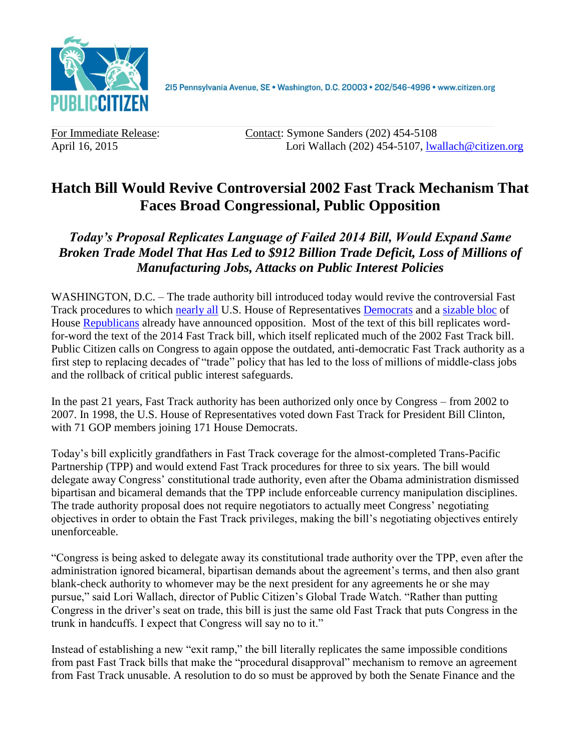

215 Pennsylvania Avenue, SE · Washington, D.C. 20003 · 202/546-4996 · www.citizen.org

For Immediate Release: Contact: Symone Sanders (202) 454-5108 April 16, 2015 Lori Wallach (202) 454-5107, [lwallach@citizen.org](mailto:lwallach@citizen.org)

## **Hatch Bill Would Revive Controversial 2002 Fast Track Mechanism That Faces Broad Congressional, Public Opposition**

*Today's Proposal Replicates Language of Failed 2014 Bill, Would Expand Same Broken Trade Model That Has Led to \$912 Billion Trade Deficit, Loss of Millions of Manufacturing Jobs, Attacks on Public Interest Policies*

WASHINGTON, D.C. – The trade authority bill introduced today would revive the controversial Fast Track procedures to which [nearly all](http://delauro.house.gov/index.php?option=com_content&view=article&id=1455:delauro-miller-lead-151-house-dems-telling-president-they-will-not-support-outdated-fast-track-for-trans-pacific-partnership&catid=2:2012-press-releases&Itemid=21) U.S. House of Representatives [Democrats](http://www.citizen.org/documents/gallego-fast-track-letter-january-2015.pdf) and a [sizable bloc](http://jones.house.gov/press-release/gop-house-members-oppose-fast-track-trade-promotion-authority) of House [Republicans](http://www.citizen.org/documents/joyce-fast-track-letter.pdf) already have announced opposition. Most of the text of this bill replicates wordfor-word the text of the 2014 Fast Track bill, which itself replicated much of the 2002 Fast Track bill. Public Citizen calls on Congress to again oppose the outdated, anti-democratic Fast Track authority as a first step to replacing decades of "trade" policy that has led to the loss of millions of middle-class jobs and the rollback of critical public interest safeguards.

In the past 21 years, Fast Track authority has been authorized only once by Congress – from 2002 to 2007. In 1998, the U.S. House of Representatives voted down Fast Track for President Bill Clinton, with 71 GOP members joining 171 House Democrats.

Today's bill explicitly grandfathers in Fast Track coverage for the almost-completed Trans-Pacific Partnership (TPP) and would extend Fast Track procedures for three to six years. The bill would delegate away Congress' constitutional trade authority, even after the Obama administration dismissed bipartisan and bicameral demands that the TPP include enforceable currency manipulation disciplines. The trade authority proposal does not require negotiators to actually meet Congress' negotiating objectives in order to obtain the Fast Track privileges, making the bill's negotiating objectives entirely unenforceable.

"Congress is being asked to delegate away its constitutional trade authority over the TPP, even after the administration ignored bicameral, bipartisan demands about the agreement's terms, and then also grant blank-check authority to whomever may be the next president for any agreements he or she may pursue," said Lori Wallach, director of Public Citizen's Global Trade Watch. "Rather than putting Congress in the driver's seat on trade, this bill is just the same old Fast Track that puts Congress in the trunk in handcuffs. I expect that Congress will say no to it."

Instead of establishing a new "exit ramp," the bill literally replicates the same impossible conditions from past Fast Track bills that make the "procedural disapproval" mechanism to remove an agreement from Fast Track unusable. A resolution to do so must be approved by both the Senate Finance and the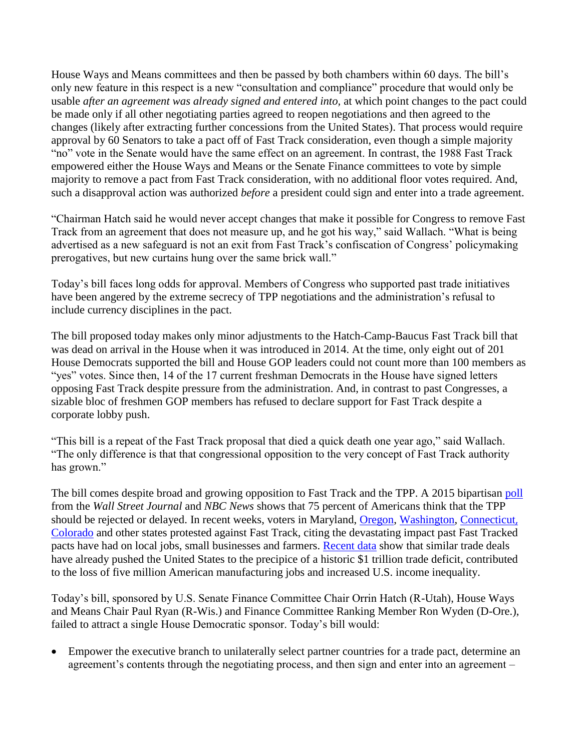House Ways and Means committees and then be passed by both chambers within 60 days. The bill's only new feature in this respect is a new "consultation and compliance" procedure that would only be usable *after an agreement was already signed and entered into,* at which point changes to the pact could be made only if all other negotiating parties agreed to reopen negotiations and then agreed to the changes (likely after extracting further concessions from the United States). That process would require approval by 60 Senators to take a pact off of Fast Track consideration, even though a simple majority "no" vote in the Senate would have the same effect on an agreement. In contrast, the 1988 Fast Track empowered either the House Ways and Means or the Senate Finance committees to vote by simple majority to remove a pact from Fast Track consideration, with no additional floor votes required. And, such a disapproval action was authorized *before* a president could sign and enter into a trade agreement.

"Chairman Hatch said he would never accept changes that make it possible for Congress to remove Fast Track from an agreement that does not measure up, and he got his way," said Wallach. "What is being advertised as a new safeguard is not an exit from Fast Track's confiscation of Congress' policymaking prerogatives, but new curtains hung over the same brick wall."

Today's bill faces long odds for approval. Members of Congress who supported past trade initiatives have been angered by the extreme secrecy of TPP negotiations and the administration's refusal to include currency disciplines in the pact.

The bill proposed today makes only minor adjustments to the Hatch-Camp-Baucus Fast Track bill that was dead on arrival in the House when it was introduced in 2014. At the time, only eight out of 201 House Democrats supported the bill and House GOP leaders could not count more than 100 members as "yes" votes. Since then, 14 of the 17 current freshman Democrats in the House have signed letters opposing Fast Track despite pressure from the administration. And, in contrast to past Congresses, a sizable bloc of freshmen GOP members has refused to declare support for Fast Track despite a corporate lobby push.

"This bill is a repeat of the Fast Track proposal that died a quick death one year ago," said Wallach. "The only difference is that that congressional opposition to the very concept of Fast Track authority has grown."

The bill comes despite broad and growing opposition to Fast Track and the TPP. A 2015 bipartisan [poll](http://blogs.wsj.com/washwire/2015/01/21/poll-finds-agenda-gap-between-leaders-american-people/) from the *Wall Street Journal* and *NBC News* shows that 75 percent of Americans think that the TPP should be rejected or delayed. In recent weeks, voters in Maryland, [Oregon,](http://www.wsj.com/articles/activists-in-blimp-rv-target-sen-ron-wyden-over-trade-deal-1428444536) [Washington,](http://www.goskagit.com/all_access/demonstrators-oppose-expedited-procedure-for-international-trade-deals/article_1fb5782b-7ed8-583e-be28-faf6b942c111.html) [Connecticut](http://www.ctpost.com/local/article/Protest-attacks-Himes-stance-on-trade-6094227.php), [Colorado](http://www.dailycamera.com/editorials/ci_27824422/editorial-jared-polis-and-free-trade) and other states protested against Fast Track, citing the devastating impact past Fast Tracked pacts have had on local jobs, small businesses and farmers. [Recent data](http://citizen.org/2014-trade-data) show that similar trade deals have already pushed the United States to the precipice of a historic \$1 trillion trade deficit, contributed to the loss of five million American manufacturing jobs and increased U.S. income inequality.

Today's bill, sponsored by U.S. Senate Finance Committee Chair Orrin Hatch (R-Utah), House Ways and Means Chair Paul Ryan (R-Wis.) and Finance Committee Ranking Member Ron Wyden (D-Ore.), failed to attract a single House Democratic sponsor. Today's bill would:

 Empower the executive branch to unilaterally select partner countries for a trade pact, determine an agreement's contents through the negotiating process, and then sign and enter into an agreement –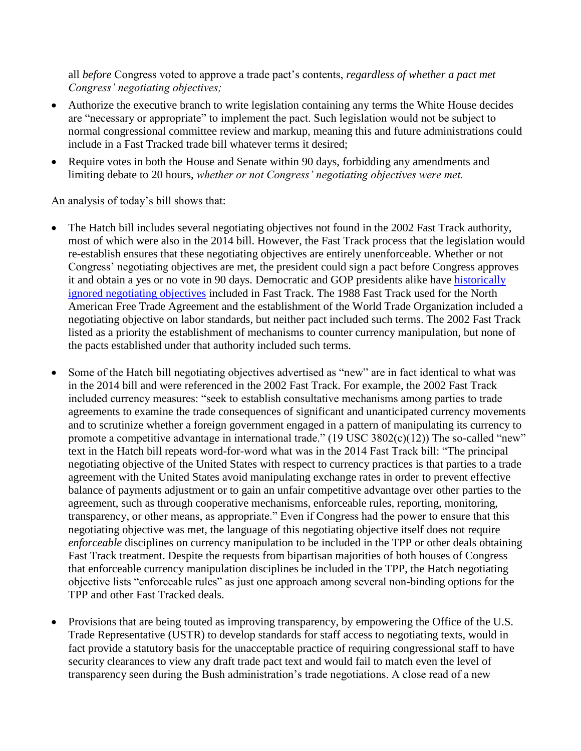all *before* Congress voted to approve a trade pact's contents, *regardless of whether a pact met Congress' negotiating objectives;*

- Authorize the executive branch to write legislation containing any terms the White House decides are "necessary or appropriate" to implement the pact. Such legislation would not be subject to normal congressional committee review and markup, meaning this and future administrations could include in a Fast Tracked trade bill whatever terms it desired;
- Require votes in both the House and Senate within 90 days, forbidding any amendments and limiting debate to 20 hours, *whether or not Congress' negotiating objectives were met.*

## An analysis of today's bill shows that:

- The Hatch bill includes several negotiating objectives not found in the 2002 Fast Track authority, most of which were also in the 2014 bill. However, the Fast Track process that the legislation would re-establish ensures that these negotiating objectives are entirely unenforceable. Whether or not Congress' negotiating objectives are met, the president could sign a pact before Congress approves it and obtain a yes or no vote in 90 days. Democratic and GOP presidents alike have [historically](http://www.citizen.org/documents/no-acceptable-fast-track.pdf)  [ignored negotiating objectives](http://www.citizen.org/documents/no-acceptable-fast-track.pdf) included in Fast Track. The 1988 Fast Track used for the North American Free Trade Agreement and the establishment of the World Trade Organization included a negotiating objective on labor standards, but neither pact included such terms. The 2002 Fast Track listed as a priority the establishment of mechanisms to counter currency manipulation, but none of the pacts established under that authority included such terms.
- Some of the Hatch bill negotiating objectives advertised as "new" are in fact identical to what was in the 2014 bill and were referenced in the 2002 Fast Track. For example, the 2002 Fast Track included currency measures: "seek to establish consultative mechanisms among parties to trade agreements to examine the trade consequences of significant and unanticipated currency movements and to scrutinize whether a foreign government engaged in a pattern of manipulating its currency to promote a competitive advantage in international trade." (19 USC 3802(c)(12)) The so-called "new" text in the Hatch bill repeats word-for-word what was in the 2014 Fast Track bill: "The principal negotiating objective of the United States with respect to currency practices is that parties to a trade agreement with the United States avoid manipulating exchange rates in order to prevent effective balance of payments adjustment or to gain an unfair competitive advantage over other parties to the agreement, such as through cooperative mechanisms, enforceable rules, reporting, monitoring, transparency, or other means, as appropriate." Even if Congress had the power to ensure that this negotiating objective was met, the language of this negotiating objective itself does not require *enforceable* disciplines on currency manipulation to be included in the TPP or other deals obtaining Fast Track treatment. Despite the requests from bipartisan majorities of both houses of Congress that enforceable currency manipulation disciplines be included in the TPP, the Hatch negotiating objective lists "enforceable rules" as just one approach among several non-binding options for the TPP and other Fast Tracked deals.
- Provisions that are being touted as improving transparency, by empowering the Office of the U.S. Trade Representative (USTR) to develop standards for staff access to negotiating texts, would in fact provide a statutory basis for the unacceptable practice of requiring congressional staff to have security clearances to view any draft trade pact text and would fail to match even the level of transparency seen during the Bush administration's trade negotiations. A close read of a new